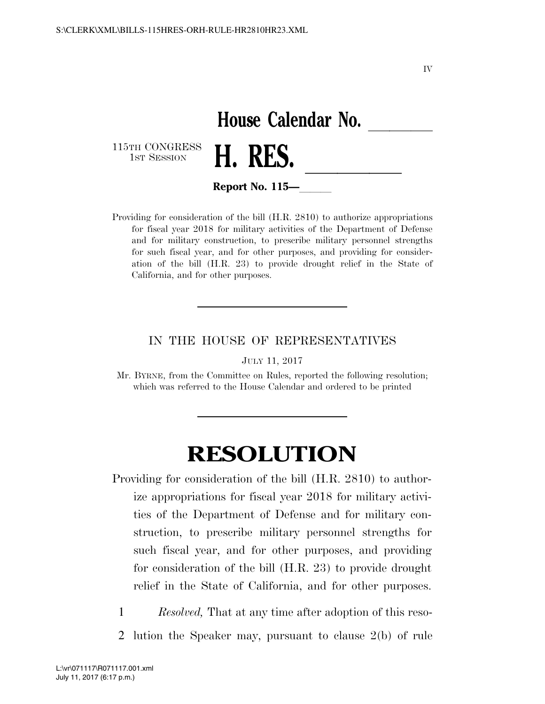IV

## House Calendar No.<br>**H. RES.**

115TH CONGRESS<br>1st Session



**Report No. 115—** 

Providing for consideration of the bill (H.R. 2810) to authorize appropriations for fiscal year 2018 for military activities of the Department of Defense and for military construction, to prescribe military personnel strengths for such fiscal year, and for other purposes, and providing for consideration of the bill (H.R. 23) to provide drought relief in the State of California, and for other purposes.

## IN THE HOUSE OF REPRESENTATIVES

JULY 11, 2017

Mr. BYRNE, from the Committee on Rules, reported the following resolution; which was referred to the House Calendar and ordered to be printed

## **RESOLUTION**

Providing for consideration of the bill (H.R. 2810) to authorize appropriations for fiscal year 2018 for military activities of the Department of Defense and for military construction, to prescribe military personnel strengths for such fiscal year, and for other purposes, and providing for consideration of the bill (H.R. 23) to provide drought relief in the State of California, and for other purposes.

1 *Resolved,* That at any time after adoption of this reso-

2 lution the Speaker may, pursuant to clause 2(b) of rule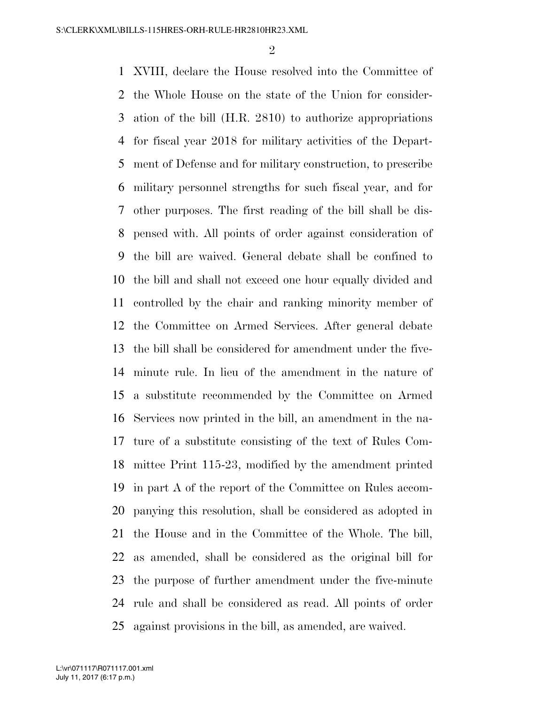$\mathfrak{D}$ 

 XVIII, declare the House resolved into the Committee of the Whole House on the state of the Union for consider- ation of the bill (H.R. 2810) to authorize appropriations for fiscal year 2018 for military activities of the Depart- ment of Defense and for military construction, to prescribe military personnel strengths for such fiscal year, and for other purposes. The first reading of the bill shall be dis- pensed with. All points of order against consideration of the bill are waived. General debate shall be confined to the bill and shall not exceed one hour equally divided and controlled by the chair and ranking minority member of the Committee on Armed Services. After general debate the bill shall be considered for amendment under the five- minute rule. In lieu of the amendment in the nature of a substitute recommended by the Committee on Armed Services now printed in the bill, an amendment in the na- ture of a substitute consisting of the text of Rules Com- mittee Print 115-23, modified by the amendment printed in part A of the report of the Committee on Rules accom- panying this resolution, shall be considered as adopted in the House and in the Committee of the Whole. The bill, as amended, shall be considered as the original bill for the purpose of further amendment under the five-minute rule and shall be considered as read. All points of order against provisions in the bill, as amended, are waived.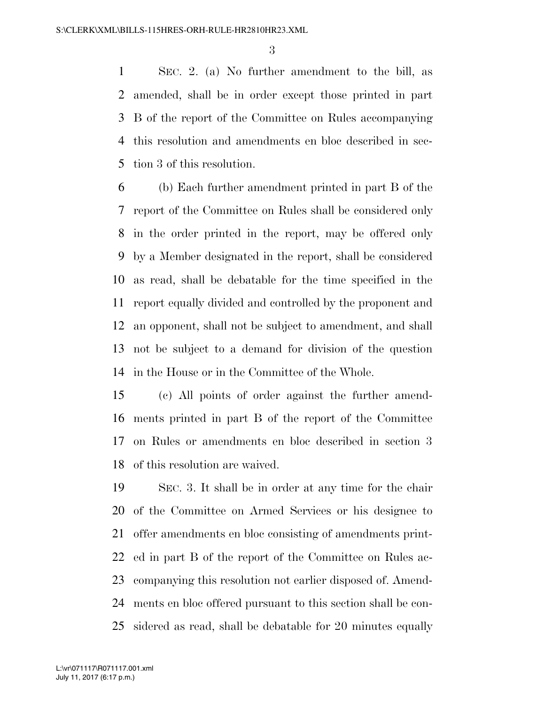SEC. 2. (a) No further amendment to the bill, as amended, shall be in order except those printed in part B of the report of the Committee on Rules accompanying this resolution and amendments en bloc described in sec-tion 3 of this resolution.

 (b) Each further amendment printed in part B of the report of the Committee on Rules shall be considered only in the order printed in the report, may be offered only by a Member designated in the report, shall be considered as read, shall be debatable for the time specified in the report equally divided and controlled by the proponent and an opponent, shall not be subject to amendment, and shall not be subject to a demand for division of the question in the House or in the Committee of the Whole.

 (c) All points of order against the further amend- ments printed in part B of the report of the Committee on Rules or amendments en bloc described in section 3 of this resolution are waived.

 SEC. 3. It shall be in order at any time for the chair of the Committee on Armed Services or his designee to offer amendments en bloc consisting of amendments print- ed in part B of the report of the Committee on Rules ac- companying this resolution not earlier disposed of. Amend- ments en bloc offered pursuant to this section shall be con-sidered as read, shall be debatable for 20 minutes equally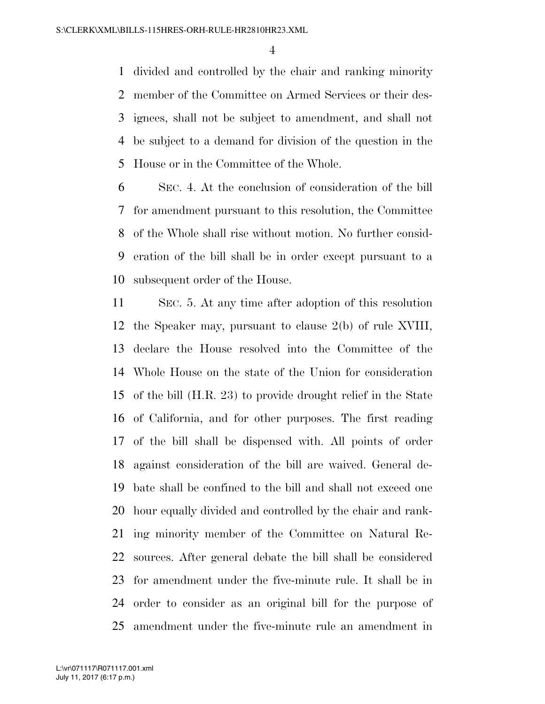divided and controlled by the chair and ranking minority member of the Committee on Armed Services or their des- ignees, shall not be subject to amendment, and shall not be subject to a demand for division of the question in the House or in the Committee of the Whole.

 SEC. 4. At the conclusion of consideration of the bill for amendment pursuant to this resolution, the Committee of the Whole shall rise without motion. No further consid- eration of the bill shall be in order except pursuant to a subsequent order of the House.

 SEC. 5. At any time after adoption of this resolution the Speaker may, pursuant to clause 2(b) of rule XVIII, declare the House resolved into the Committee of the Whole House on the state of the Union for consideration of the bill (H.R. 23) to provide drought relief in the State of California, and for other purposes. The first reading of the bill shall be dispensed with. All points of order against consideration of the bill are waived. General de- bate shall be confined to the bill and shall not exceed one hour equally divided and controlled by the chair and rank- ing minority member of the Committee on Natural Re- sources. After general debate the bill shall be considered for amendment under the five-minute rule. It shall be in order to consider as an original bill for the purpose of amendment under the five-minute rule an amendment in

July 11, 2017 (6:17 p.m.) L:\vr\071117\R071117.001.xml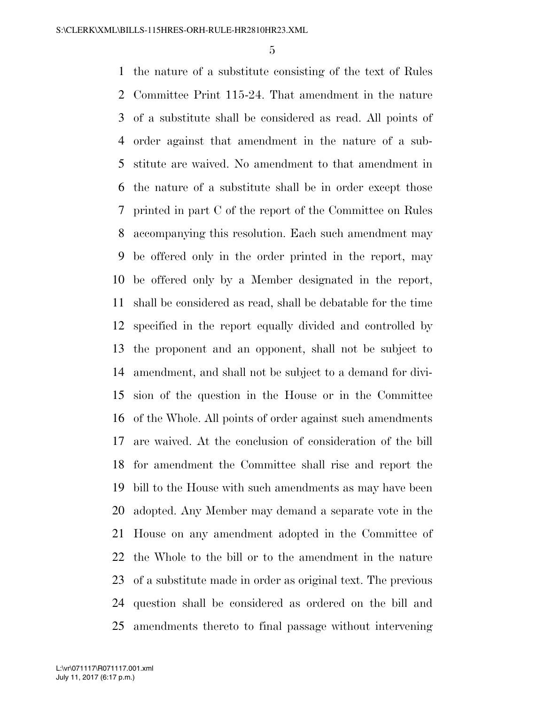the nature of a substitute consisting of the text of Rules Committee Print 115-24. That amendment in the nature of a substitute shall be considered as read. All points of order against that amendment in the nature of a sub- stitute are waived. No amendment to that amendment in the nature of a substitute shall be in order except those printed in part C of the report of the Committee on Rules accompanying this resolution. Each such amendment may be offered only in the order printed in the report, may be offered only by a Member designated in the report, shall be considered as read, shall be debatable for the time specified in the report equally divided and controlled by the proponent and an opponent, shall not be subject to amendment, and shall not be subject to a demand for divi- sion of the question in the House or in the Committee of the Whole. All points of order against such amendments are waived. At the conclusion of consideration of the bill for amendment the Committee shall rise and report the bill to the House with such amendments as may have been adopted. Any Member may demand a separate vote in the House on any amendment adopted in the Committee of the Whole to the bill or to the amendment in the nature of a substitute made in order as original text. The previous question shall be considered as ordered on the bill and amendments thereto to final passage without intervening